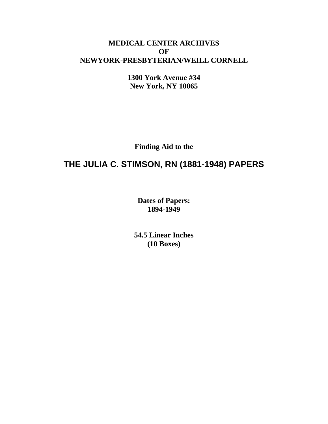## **MEDICAL CENTER ARCHIVES OF NEWYORK-PRESBYTERIAN/WEILL CORNELL**

**1300 York Avenue #34 New York, NY 10065**

**Finding Aid to the**

# **THE JULIA C. STIMSON, RN (1881-1948) PAPERS**

**Dates of Papers: 1894-1949**

**54.5 Linear Inches (10 Boxes)**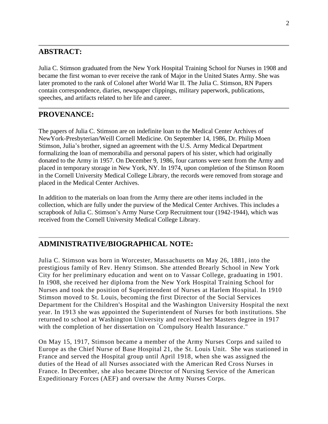## **ABSTRACT:**

Julia C. Stimson graduated from the New York Hospital Training School for Nurses in 1908 and became the first woman to ever receive the rank of Major in the United States Army. She was later promoted to the rank of Colonel after World War II. The Julia C. Stimson, RN Papers contain correspondence, diaries, newspaper clippings, military paperwork, publications, speeches, and artifacts related to her life and career.

## **PROVENANCE:**

The papers of Julia C. Stimson are on indefinite loan to the Medical Center Archives of NewYork-Presbyterian/Weill Cornell Medicine. On September 14, 1986, Dr. Philip Moen Stimson, Julia's brother, signed an agreement with the U.S. Army Medical Department formalizing the loan of memorabilia and personal papers of his sister, which had originally donated to the Army in 1957. On December 9, 1986, four cartons were sent from the Army and placed in temporary storage in New York, NY. In 1974, upon completion of the Stimson Room in the Cornell University Medical College Library, the records were removed from storage and placed in the Medical Center Archives.

In addition to the materials on loan from the Army there are other items included in the collection, which are fully under the purview of the Medical Center Archives. This includes a scrapbook of Julia C. Stimson's Army Nurse Corp Recruitment tour (1942-1944), which was received from the Cornell University Medical College Library.

## **ADMINISTRATIVE/BIOGRAPHICAL NOTE:**

Julia C. Stimson was born in Worcester, Massachusetts on May 26, 1881, into the prestigious family of Rev. Henry Stimson. She attended Brearly School in New York City for her preliminary education and went on to Vassar College, graduating in 1901. In 1908, she received her diploma from the New York Hospital Training School for Nurses and took the position of Superintendent of Nurses at Harlem Hospital. In 1910 Stimson moved to St. Louis, becoming the first Director of the Social Services Department for the Children's Hospital and the Washington University Hospital the next year. In 1913 she was appointed the Superintendent of Nurses for both institutions. She returned to school at Washington University and received her Masters degree in 1917 with the completion of her dissertation on "Compulsory Health Insurance."

On May 15, 1917, Stimson became a member of the Army Nurses Corps and sa iled to Europe as the Chief Nurse of Base Hospital 21, the St. Louis Unit. She was stationed in France and served the Hospital group until April 1918, when she was assigned the duties of the Head of all Nurses associated with the American Red Cross Nurses in France. In December, she also became Director of Nursing Service of the American Expeditionary Forces (AEF) and oversaw the Army Nurses Corps.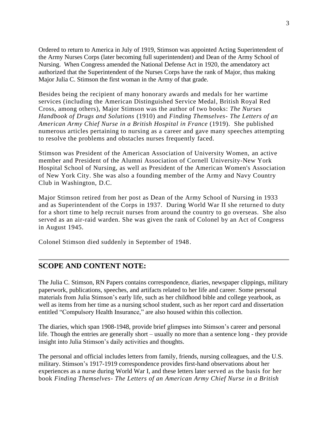Ordered to return to America in July of 1919, Stimson was appointed Acting Superintendent of the Army Nurses Corps (later becoming full superintendent) and Dean of the Army School of Nursing. When Congress amended the National Defense Act in 1920, the amendatory act authorized that the Superintendent of the Nurses Corps have the rank of Major, thus making Major Julia C. Stimson the first woman in the Army of that grade.

Besides being the recipient of many honorary awards and medals for her wartime services (including the American Distinguished Service Medal, British Royal Red Cross, among others), Major Stimson was the author of two books: *The Nurses Handbook of Drugs and Solutions* (1910) and *Finding Themselves- The Letters of an American Army Chief Nurse in a British Hospital in France* (1919). She published numerous articles pertaining to nursing as a career and gave many speeches attempting to resolve the problems and obstacles nurses frequently faced.

Stimson was President of the American Association of University Women, an active member and President of the Alumni Association of Cornell University-New York Hospital School of Nursing, as well as President of the American Women's Association of New York City. She was also a founding member of the Army and Navy Country Club in Washington, D.C.

Major Stimson retired from her post as Dean of the Army School of Nursing in 1933 and as Superintendent of the Corps in 1937. During World War II she returned to duty for a short time to help recruit nurses from around the country to go overseas. She also served as an air-raid warden. She was given the rank of Colonel by an Act of Congress in August 1945.

Colonel Stimson died suddenly in September of 1948.

#### **SCOPE AND CONTENT NOTE:**

The Julia C. Stimson, RN Papers contains correspondence, diaries, newspaper clippings, military paperwork, publications, speeches, and artifacts related to her life and career. Some personal materials from Julia Stimson's early life, such as her childhood bible and college yearbook, as well as items from her time as a nursing school student, such as her report card and dissertation entitled "Compulsory Health Insurance," are also housed within this collection.

The diaries, which span 1908-1948, provide brief glimpses into Stimson's career and personal life. Though the entries are generally short – usually no more than a sentence long - they provide insight into Julia Stimson's daily activities and thoughts.

The personal and official includes letters from family, friends, nursing colleagues, and the U.S. military. Stimson's 1917-1919 correspondence provides first-hand observations about her experiences as a nurse during World War I, and these letters later served as the basis for her book *Finding Themselves- The Letters of an American Army Chief Nurse in a British*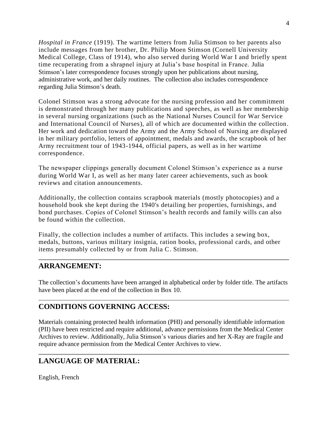*Hospital in France* (1919). The wartime letters from Julia Stimson to her parents also include messages from her brother, Dr. Philip Moen Stimson (Cornell University Medical College, Class of 1914), who also served during World War I and briefly spent time recuperating from a shrapnel injury at Julia's base hospital in France. Julia Stimson's later correspondence focuses strongly upon her publications about nursing, administrative work, and her daily routines. The collection also includes correspondence regarding Julia Stimson's death.

Colonel Stimson was a strong advocate for the nursing profession and her commitment is demonstrated through her many publications and speeches, as well as her membership in several nursing organizations (such as the National Nurses Council for War Service and International Council of Nurses), all of which are documented within the collection. Her work and dedication toward the Army and the Army School of Nursing are displayed in her military portfolio, letters of appointment, medals and awards, the scrapbook of her Army recruitment tour of 1943-1944, official papers, as well as in her wartime correspondence.

The newspaper clippings generally document Colonel Stimson's experience as a nurse during World War I, as well as her many later career achievements, such as book reviews and citation announcements.

Additionally, the collection contains scrapbook materials (mostly photocopies) and a household book she kept during the 1940's detailing her properties, furnishings, and bond purchases. Copies of Colonel Stimson's health records and family wills can also be found within the collection.

Finally, the collection includes a number of artifacts. This includes a sewing box, medals, buttons, various military insignia, ration books, professional cards, and other items presumably collected by or from Julia C. Stimson.

## **ARRANGEMENT:**

The collection's documents have been arranged in alphabetical order by folder title. The artifacts have been placed at the end of the collection in Box 10.

## **CONDITIONS GOVERNING ACCESS:**

Materials containing protected health information (PHI) and personally identifiable information (PII) have been restricted and require additional, advance permissions from the Medical Center Archives to review. Additionally, Julia Stimson's various diaries and her X-Ray are fragile and require advance permission from the Medical Center Archives to view.

## **LANGUAGE OF MATERIAL:**

English, French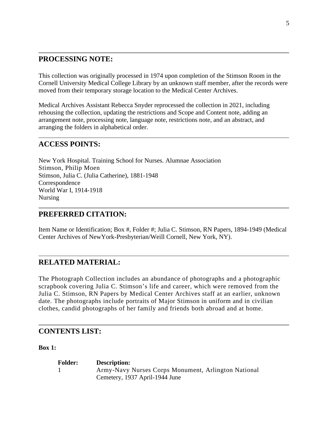#### **PROCESSING NOTE:**

This collection was originally processed in 1974 upon completion of the Stimson Room in the Cornell University Medical College Library by an unknown staff member, after the records were moved from their temporary storage location to the Medical Center Archives.

Medical Archives Assistant Rebecca Snyder reprocessed the collection in 2021, including rehousing the collection, updating the restrictions and Scope and Content note, adding an arrangement note, processing note, language note, restrictions note, and an abstract, and arranging the folders in alphabetical order.

#### **ACCESS POINTS:**

New York Hospital. Training School for Nurses. Alumnae Association Stimson, Philip Moen Stimson, Julia C. (Julia Catherine), 1881-1948 Correspondence World War I, 1914-1918 Nursing

#### **PREFERRED CITATION:**

Item Name or Identification; Box #, Folder #; Julia C. Stimson, RN Papers, 1894-1949 (Medical Center Archives of NewYork-Presbyterian/Weill Cornell, New York, NY).

#### **RELATED MATERIAL:**

The Photograph Collection includes an abundance of photographs and a photographic scrapbook covering Julia C. Stimson's life and career, which were removed from the Julia C. Stimson, RN Papers by Medical Center Archives staff at an earlier, unknown date. The photographs include portraits of Major Stimson in uniform and in civilian clothes, candid photographs of her family and friends both abroad and at home.

#### **CONTENTS LIST:**

**Box 1:** 

**Folder: Description:** 1 Army-Navy Nurses Corps Monument, Arlington National Cemetery, 1937 April-1944 June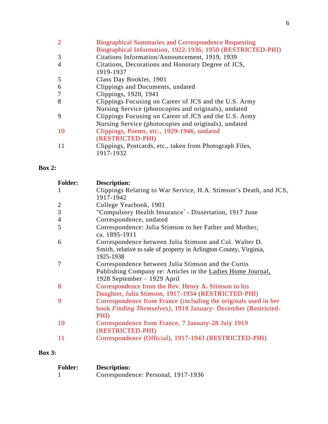| $\overline{2}$ | <b>Biographical Summaries and Correspondence Requesting</b> |
|----------------|-------------------------------------------------------------|
|                | Biographical Information, 1922-1936, 1950 (RESTRICTED-PHI)  |
| 3              | Citations Information/Announcement, 1919, 1939              |
| $\overline{A}$ | Citations, Decorations and Honorary Degree of JCS,          |
|                | 1919-1937                                                   |
| 5              | Class Day Booklet, 1901                                     |
| 6              | Clippings and Documents, undated                            |
| $\overline{7}$ | Clippings, 1920, 1941                                       |
| 8              | Clippings Focusing on Career of JCS and the U.S. Army       |
|                | Nursing Service (photocopies and originals), undated        |
| 9              | Clippings Focusing on Career of JCS and the U.S. Army       |
|                | Nursing Service (photocopies and originals), undated        |
| 10             | Clippings, Poems, etc., 1929-1946, undated                  |
|                | (RESTRICTED-PHI)                                            |
| 11             | Clippings, Postcards, etc., taken from Photograph Files,    |
|                | 1917-1932                                                   |

## **Box 2:**

| Description:                                                             |
|--------------------------------------------------------------------------|
| Clippings Relating to War Service, H.A. Stimson's Death, and JCS,        |
| 1917-1942                                                                |
| College Yearbook, 1901                                                   |
| "Compulsory Health Insurance" - Dissertation, 1917 June                  |
| Correspondence, undated                                                  |
| Correspondence: Julia Stimson to her Father and Mother,<br>ca. 1895-1911 |
| Correspondence between Julia Stimson and Col. Walter D.                  |
| Smith, relative to sale of property in Arlington County, Virginia,       |
| 1925-1938                                                                |
| Correspondence between Julia Stimson and the Curtis                      |
| Publishing Company re: Articles in the Ladies Home Journal,              |
| 1928 September – 1929 April                                              |
| Correspondence from the Rev. Henry A. Stimson to his                     |
| Daughter, Julia Stimson, 1917-1934 (RESTRICTED-PHI)                      |
| Correspondence from France (including the originals used in her          |
| book Finding Themselves), 1918 January- December (Restricted-            |
| PHI)                                                                     |
| Correspondence from France, 7 January-28 July 1919                       |
| (RESTRICTED-PHI)                                                         |
| Correspondence (Official), 1917-1943 (RESTRICTED-PHI)                    |
|                                                                          |

## **Box 3:**

| <b>Folder:</b> | <b>Description:</b>                 |
|----------------|-------------------------------------|
|                | Correspondence: Personal, 1917-1936 |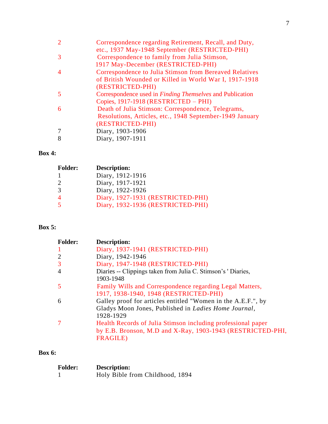| Correspondence regarding Retirement, Recall, and Duty,           |
|------------------------------------------------------------------|
| etc., 1937 May-1948 September (RESTRICTED-PHI)                   |
| Correspondence to family from Julia Stimson,                     |
| 1917 May-December (RESTRICTED-PHI)                               |
| Correspondence to Julia Stimson from Bereaved Relatives          |
| of British Wounded or Killed in World War I, 1917-1918           |
| (RESTRICTED-PHI)                                                 |
| Correspondence used in <i>Finding Themselves</i> and Publication |
| Copies, 1917-1918 (RESTRICTED – PHI)                             |
| Death of Julia Stimson: Correspondence, Telegrams,               |
| Resolutions, Articles, etc., 1948 September-1949 January         |
| (RESTRICTED-PHI)                                                 |
| Diary, 1903-1906                                                 |
| Diary, 1907-1911                                                 |
|                                                                  |

## **Box 4:**

| <b>Folder:</b>          | Description:                      |
|-------------------------|-----------------------------------|
|                         | Diary, 1912-1916                  |
| $\mathcal{D}_{\cdot}$   | Diary, 1917-1921                  |
| 3                       | Diary, 1922-1926                  |
|                         | Diary, 1927-1931 (RESTRICTED-PHI) |
| $\overline{\mathbf{S}}$ | Diary, 1932-1936 (RESTRICTED-PHI) |

## **Box 5:**

| <b>Folder:</b> | Description:                                                                                                                                   |
|----------------|------------------------------------------------------------------------------------------------------------------------------------------------|
|                | Diary, 1937-1941 (RESTRICTED-PHI)                                                                                                              |
|                | Diary, 1942-1946                                                                                                                               |
| 3              | Diary, 1947-1948 (RESTRICTED-PHI)                                                                                                              |
| $\overline{4}$ | Diaries -- Clippings taken from Julia C. Stimson's 'Diaries,<br>1903-1948                                                                      |
|                | Family Wills and Correspondence regarding Legal Matters,<br>1917, 1938-1940, 1948 (RESTRICTED-PHI)                                             |
| 6              | Galley proof for articles entitled "Women in the A.E.F.", by<br>Gladys Moon Jones, Published in Ladies Home Journal,<br>1928-1929              |
|                | Health Records of Julia Stimson including professional paper<br>by E.B. Bronson, M.D and X-Ray, 1903-1943 (RESTRICTED-PHI,<br><b>FRAGILE</b> ) |

#### **Box 6:**

| <b>Folder:</b> | <b>Description:</b>             |
|----------------|---------------------------------|
|                | Holy Bible from Childhood, 1894 |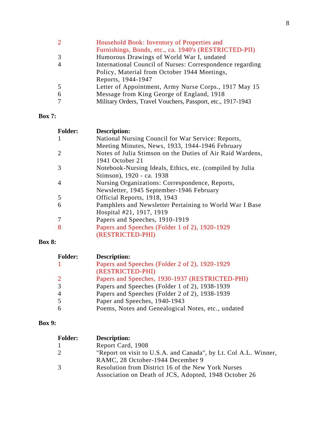| $\mathcal{D}_{\mathcal{L}}$ | Household Book: Inventory of Properties and                 |
|-----------------------------|-------------------------------------------------------------|
|                             | Furnishings, Bonds, etc., ca. 1940's (RESTRICTED-PII)       |
| 3                           | Humorous Drawings of World War I, undated                   |
| 4                           | International Council of Nurses: Correspondence regarding   |
|                             | Policy, Material from October 1944 Meetings,                |
|                             | Reports, 1944-1947                                          |
| -5                          | Letter of Appointment, Army Nurse Corps., 1917 May 15       |
| -6                          | Message from King George of England, 1918                   |
|                             | Military Orders, Travel Vouchers, Passport, etc., 1917-1943 |

## **Box 7:**

| <b>Folder:</b> | Description:                                              |
|----------------|-----------------------------------------------------------|
|                | National Nursing Council for War Service: Reports,        |
|                | Meeting Minutes, News, 1933, 1944-1946 February           |
|                | Notes of Julia Stimson on the Duties of Air Raid Wardens, |
|                | 1941 October 21                                           |
|                | Notebook-Nursing Ideals, Ethics, etc. (compiled by Julia  |
|                | Stimson), 1920 - ca. 1938                                 |
| 4              | Nursing Organizations: Correspondence, Reports,           |
|                | Newsletter, 1945 September-1946 February                  |
| 5              | Official Reports, 1918, 1943                              |
| 6              | Pamphlets and Newsletter Pertaining to World War I Base   |
|                | Hospital #21, 1917, 1919                                  |
|                | Papers and Speeches, 1910-1919                            |
|                | Papers and Speeches (Folder 1 of 2), 1920-1929            |
|                | (RESTRICTED-PHI)                                          |

## **Box 8:**

| <b>Folder:</b> | <b>Description:</b>                                |
|----------------|----------------------------------------------------|
|                | Papers and Speeches (Folder 2 of 2), 1920-1929     |
|                | (RESTRICTED-PHI)                                   |
| 2              | Papers and Speeches, 1930-1937 (RESTRICTED-PHI)    |
| 3              | Papers and Speeches (Folder 1 of 2), 1938-1939     |
| $\overline{4}$ | Papers and Speeches (Folder 2 of 2), 1938-1939     |
| .5             | Paper and Speeches, 1940-1943                      |
| 6              | Poems, Notes and Genealogical Notes, etc., undated |

## **Box 9:**

| <b>Folder:</b> | <b>Description:</b>                                             |
|----------------|-----------------------------------------------------------------|
|                | Report Card, 1908                                               |
| 2              | "Report on visit to U.S.A. and Canada", by Lt. Col A.L. Winner, |
|                | RAMC, 28 October-1944 December 9                                |
| 3              | Resolution from District 16 of the New York Nurses              |
|                | Association on Death of JCS, Adopted, 1948 October 26           |